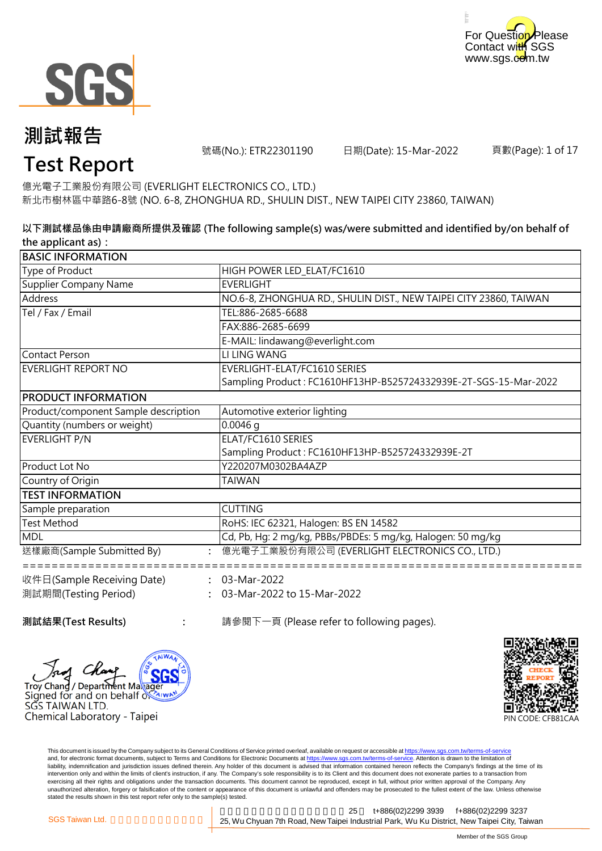



號碼(No.): ETR22301190 日期(Date): 15-Mar-2022

頁數(Page): 1 of 17

# **Test Report**

新北市樹林區中華路6-8號 (NO. 6-8, ZHONGHUA RD., SHULIN DIST., NEW TAIPEI CITY 23860, TAIWAN) 億光電子工業股份有限公司 (EVERLIGHT ELECTRONICS CO., LTD.)

### **以下測試樣品係由申請廠商所提供及確認 (The following sample(s) was/were submitted and identified by/on behalf of the applicant as):**

| <b>BASIC INFORMATION</b>             |                                                                   |
|--------------------------------------|-------------------------------------------------------------------|
| Type of Product                      | HIGH POWER LED_ELAT/FC1610                                        |
| Supplier Company Name                | <b>EVERLIGHT</b>                                                  |
| Address                              | NO.6-8, ZHONGHUA RD., SHULIN DIST., NEW TAIPEI CITY 23860, TAIWAN |
| Tel / Fax / Email                    | TEL:886-2685-6688                                                 |
|                                      | FAX:886-2685-6699                                                 |
|                                      | E-MAIL: lindawang@everlight.com                                   |
| <b>Contact Person</b>                | LI LING WANG                                                      |
| <b>EVERLIGHT REPORT NO</b>           | EVERLIGHT-ELAT/FC1610 SERIES                                      |
|                                      | Sampling Product: FC1610HF13HP-B525724332939E-2T-SGS-15-Mar-2022  |
| <b>PRODUCT INFORMATION</b>           |                                                                   |
| Product/component Sample description | Automotive exterior lighting                                      |
| Quantity (numbers or weight)         | $0.0046$ g                                                        |
| EVERLIGHT P/N                        | ELAT/FC1610 SERIES                                                |
|                                      | Sampling Product: FC1610HF13HP-B525724332939E-2T                  |
| Product Lot No                       | Y220207M0302BA4AZP                                                |
| Country of Origin                    | TAIWAN                                                            |
| <b>TEST INFORMATION</b>              |                                                                   |
| Sample preparation                   | <b>CUTTING</b>                                                    |
| <b>Test Method</b>                   | RoHS: IEC 62321, Halogen: BS EN 14582                             |
| <b>MDL</b>                           | Cd, Pb, Hg: 2 mg/kg, PBBs/PBDEs: 5 mg/kg, Halogen: 50 mg/kg       |
| 送樣廠商(Sample Submitted By)            | 億光電子工業股份有限公司 (EVERLIGHT ELECTRONICS CO., LTD.)                    |
| 收件日(Sample Receiving Date)           | $: 03-Mar-2022$                                                   |
| 測試期間(Testing Period)                 | 03-Mar-2022 to 15-Mar-2022                                        |
| 測試結果(Test Results)                   | 請參閱下一頁 (Please refer to following pages).                         |

**Troy Chang / Department Makager** Signed for and on behalf of SĞS TAIWAN LTD. Chemical Laboratory - Taipei



This document is issued by the Company subject to its General Conditions of Service printed overleaf, available on request or accessible at https://www.sgs.com.tw/terms-of-service and, for electronic format documents, subject to Terms and Conditions for Electronic Documents at https://www.sgs.com.tw/terms-of-service. Attention is drawn to the limitation of liability, indemnification and jurisdiction issues defined therein. Any holder of this document is advised that information contained hereon reflects the Company's findings at the time of its intervention only and within the limits of client's instruction, if any. The Company's sole responsibility is to its Client and this document does not exonerate parties to a transaction from exercising all their rights and obligations under the transaction documents. This document cannot be reproduced, except in full, without prior written approval of the Company. Any<br>unauthorized alteration, forgery or falsif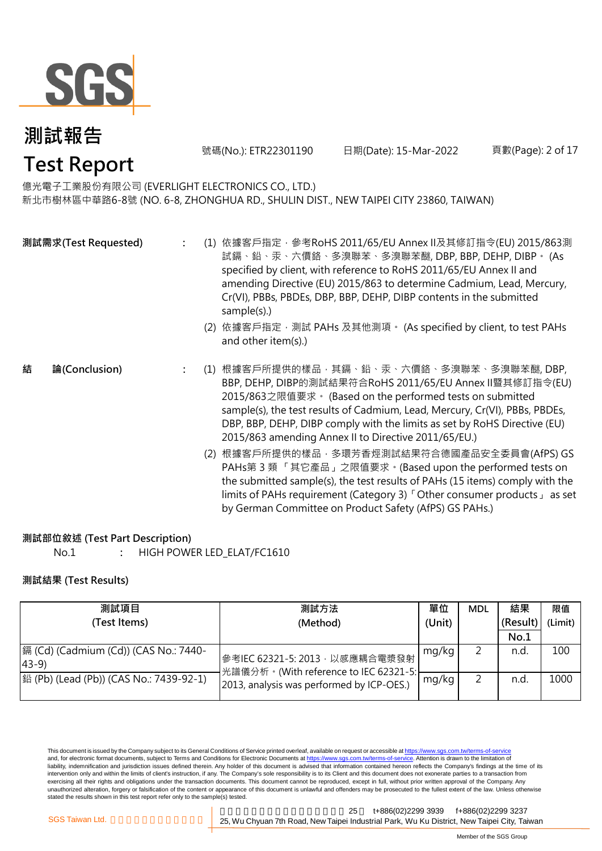

號碼(No.): ETR22301190 日期(Date): 15-Mar-2022

limits of PAHs requirement (Category 3)「Other consumer products」 as set

by German Committee on Product Safety (AfPS) GS PAHs.)

頁數(Page): 2 of 17

### 億光電子工業股份有限公司 (EVERLIGHT ELECTRONICS CO., LTD.)

新北市樹林區中華路6-8號 (NO. 6-8, ZHONGHUA RD., SHULIN DIST., NEW TAIPEI CITY 23860, TAIWAN)

|                    | 試鎘、鉛、汞、六價鉻、多溴聯苯、多溴聯苯醚, DBP, BBP, DEHP, DIBP。 (As<br>specified by client, with reference to RoHS 2011/65/EU Annex II and<br>amending Directive (EU) 2015/863 to determine Cadmium, Lead, Mercury,<br>Cr(VI), PBBs, PBDEs, DBP, BBP, DEHP, DIBP contents in the submitted<br>sample(s).)<br>(2) 依據客戶指定‧測試 PAHs 及其他測項。 (As specified by client, to test PAHs<br>and other item(s).)                                                                                                                  |
|--------------------|---------------------------------------------------------------------------------------------------------------------------------------------------------------------------------------------------------------------------------------------------------------------------------------------------------------------------------------------------------------------------------------------------------------------------------------------------------------------------------------------------|
| 結<br>論(Conclusion) | (1) 根據客戶所提供的樣品‧其鎘﹑鉛﹑汞﹑六價鉻﹑多溴聯苯﹑多溴聯苯醚, DBP,<br>BBP, DEHP, DIBP的測試結果符合RoHS 2011/65/EU Annex II暨其修訂指令(EU)<br>2015/863之限值要求 · (Based on the performed tests on submitted<br>sample(s), the test results of Cadmium, Lead, Mercury, Cr(VI), PBBs, PBDEs,<br>DBP, BBP, DEHP, DIBP comply with the limits as set by RoHS Directive (EU)<br>2015/863 amending Annex II to Directive 2011/65/EU.)<br>(2) 根據客戶所提供的樣品,多環芳香烴測試結果符合德國產品安全委員會(AfPS) GS<br>PAHs第3類「其它產品」之限值要求。(Based upon the performed tests on |

### **測試部位敘述 (Test Part Description)**

No.1 **:** HIGH POWER LED\_ELAT/FC1610

### **測試結果 (Test Results)**

| 測試項目                                                    | 測試方法                                                                    |       | <b>MDL</b> | 結果       | 限值      |
|---------------------------------------------------------|-------------------------------------------------------------------------|-------|------------|----------|---------|
| (Test Items)                                            | (Unit)<br>(Method)                                                      |       |            | (Result) | (Limit) |
|                                                         |                                                                         |       |            | No.1     |         |
| 鎘 (Cd) (Cadmium (Cd)) (CAS No.: 7440-<br>$ 43-9\rangle$ | 參考IEC 62321-5: 2013, 以感應耦合電漿發射<br>光譜儀分析。(With reference to IEC 62321-5: | mg/kg |            | n.d      | 100     |
| 銟 (Pb) (Lead (Pb)) (CAS No.: 7439-92-1)                 | 2013, analysis was performed by ICP-OES.)                               | mg/kg |            | n.d      | 1000    |

This document is issued by the Company subject to its General Conditions of Service printed overleaf, available on request or accessible at <u>https://www.sgs.com.tw/terms-of-service</u><br>and, for electronic format documents, su liability, indemnification and jurisdiction issues defined therein. Any holder of this document is advised that information contained hereon reflects the Company's findings at the time of its intervention only and within the limits of client's instruction, if any. The Company's sole responsibility is to its Client and this document does not exonerate parties to a transaction from exercising all their rights and obligations under the transaction documents. This document cannot be reproduced, except in full, without prior written approval of the Company. Any<br>unauthorized alteration, forgery or falsif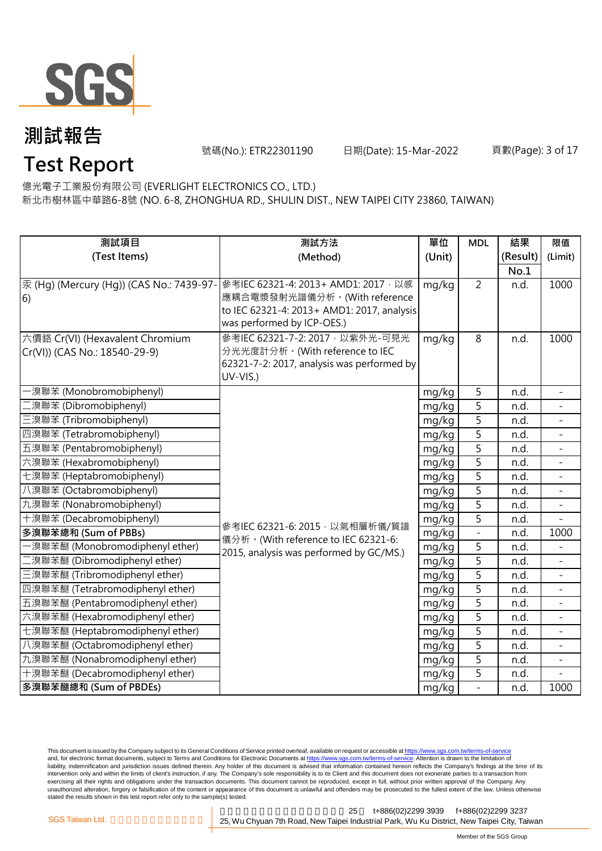

號碼(No.): ETR22301190 日期(Date): 15-Mar-2022

**Test Report** 億光電子工業股份有限公司 (EVERLIGHT ELECTRONICS CO., LTD.)

新北市樹林區中華路6-8號 (NO. 6-8, ZHONGHUA RD., SHULIN DIST., NEW TAIPEI CITY 23860, TAIWAN)

| 測試項目                                     | 測試方法                                                                           | 單位             | <b>MDL</b>     | 結果       | 限值                       |
|------------------------------------------|--------------------------------------------------------------------------------|----------------|----------------|----------|--------------------------|
| (Test Items)                             | (Method)                                                                       | (Unit)         |                | (Result) | (Limit)                  |
|                                          |                                                                                |                |                | No.1     |                          |
| 汞 (Hg) (Mercury (Hg)) (CAS No.: 7439-97- | 參考IEC 62321-4: 2013+ AMD1: 2017, 以感                                            | mg/kg          | $\overline{2}$ | n.d.     | 1000                     |
| 6)                                       | 應耦合電漿發射光譜儀分析。(With reference                                                   |                |                |          |                          |
|                                          | to IEC 62321-4: 2013+ AMD1: 2017, analysis                                     |                |                |          |                          |
|                                          | was performed by ICP-OES.)                                                     |                |                |          |                          |
| 六價鉻 Cr(VI) (Hexavalent Chromium          | 參考IEC 62321-7-2: 2017 · 以紫外光-可見光                                               | mg/kg          | 8              | n.d.     | 1000                     |
| Cr(VI)) (CAS No.: 18540-29-9)            | 分光光度計分析。(With reference to IEC                                                 |                |                |          |                          |
|                                          | 62321-7-2: 2017, analysis was performed by<br>UV-VIS.)                         |                |                |          |                          |
| ·溴聯苯 (Monobromobiphenyl)                 |                                                                                |                | 5              | n.d.     | $\overline{\phantom{a}}$ |
| [溴聯苯 (Dibromobiphenyl)                   |                                                                                | mg/kg          | 5              | n.d.     |                          |
| 三溴聯苯 (Tribromobiphenyl)                  |                                                                                | mg/kg<br>mg/kg | 5              | n.d.     |                          |
| 四溴聯苯 (Tetrabromobiphenyl)                |                                                                                | mg/kg          | $\overline{5}$ | n.d.     | $\equiv$                 |
| 五溴聯苯 (Pentabromobiphenyl)                |                                                                                | mg/kg          | $\overline{5}$ | n.d.     |                          |
| 六溴聯苯 (Hexabromobiphenyl)                 |                                                                                | mg/kg          | $\overline{5}$ | n.d.     |                          |
| 七溴聯苯 (Heptabromobiphenyl)                |                                                                                |                | $\overline{5}$ | n.d.     | $\overline{\phantom{a}}$ |
| 八溴聯苯 (Octabromobiphenyl)                 |                                                                                | mg/kg<br>mg/kg | $\overline{5}$ | n.d.     | $\equiv$                 |
| 九溴聯苯 (Nonabromobiphenyl)                 |                                                                                | mg/kg          | 5              | n.d.     |                          |
| 十溴聯苯 (Decabromobiphenyl)                 |                                                                                | mg/kg          | 5              | n.d.     |                          |
| 多溴聯苯總和 (Sum of PBBs)                     | 參考IEC 62321-6: 2015, 以氣相層析儀/質譜                                                 | mg/kg          | $\equiv$       | n.d.     | 1000                     |
| ·溴聯苯醚 (Monobromodiphenyl ether)          | 儀分析。(With reference to IEC 62321-6:<br>2015, analysis was performed by GC/MS.) | mg/kg          | 5              | n.d.     |                          |
| 二溴聯苯醚 (Dibromodiphenyl ether)            |                                                                                | mg/kg          | $\overline{5}$ | n.d.     |                          |
| 三溴聯苯醚 (Tribromodiphenyl ether)           |                                                                                | mg/kg          | $\overline{5}$ | n.d.     | $\equiv$                 |
| 四溴聯苯醚 (Tetrabromodiphenyl ether)         |                                                                                | mg/kg          | $\overline{5}$ | n.d.     | $\equiv$                 |
| 五溴聯苯醚 (Pentabromodiphenyl ether)         |                                                                                | mg/kg          | 5              | n.d.     |                          |
| 六溴聯苯醚 (Hexabromodiphenyl ether)          |                                                                                | mg/kg          | 5              | n.d.     |                          |
| 七溴聯苯醚 (Heptabromodiphenyl ether)         |                                                                                | mg/kg          | 5              | n.d.     | $\overline{\phantom{a}}$ |
| 八溴聯苯醚 (Octabromodiphenyl ether)          |                                                                                | mg/kg          | 5              | n.d.     |                          |
| 九溴聯苯醚 (Nonabromodiphenyl ether)          |                                                                                | mg/kg          | $\overline{5}$ | n.d.     |                          |
| 十溴聯苯醚 (Decabromodiphenyl ether)          |                                                                                | mg/kg          | 5              | n.d.     |                          |
| 多溴聯苯醚總和 (Sum of PBDEs)                   |                                                                                | mg/kg          | $\overline{a}$ | n.d.     | 1000                     |

This document is issued by the Company subject to its General Conditions of Service printed overleaf, available on request or accessible at <u>https://www.sgs.com.tw/terms-of-service</u><br>and, for electronic format documents, su liability, indemnification and jurisdiction issues defined therein. Any holder of this document is advised that information contained hereon reflects the Company's findings at the time of its intervention only and within the limits of client's instruction, if any. The Company's sole responsibility is to its Client and this document does not exonerate parties to a transaction from exercising all their rights and obligations under the transaction documents. This document cannot be reproduced, except in full, without prior written approval of the Company. Any<br>unauthorized alteration, forgery or falsif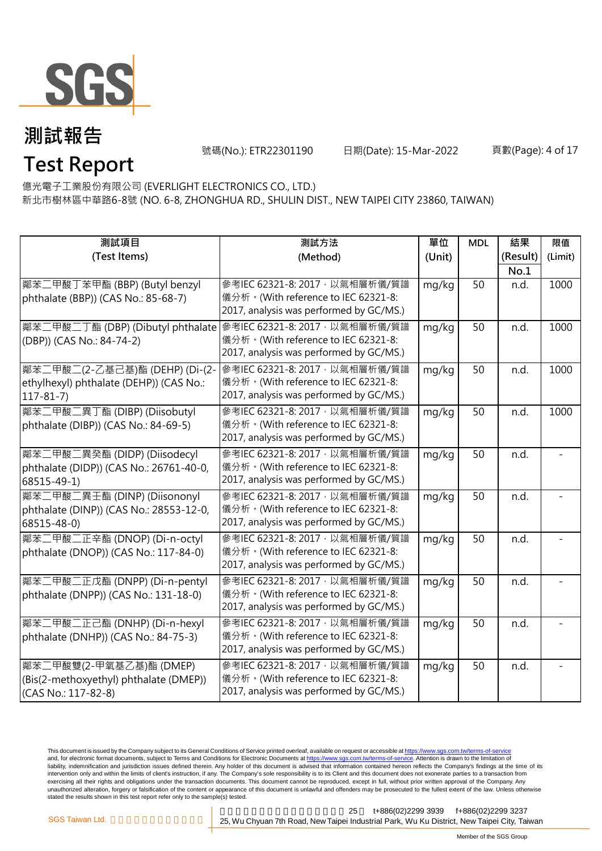

號碼(No.): ETR22301190 日期(Date): 15-Mar-2022

#### 頁數(Page): 4 of 17

### **Test Report** 億光電子工業股份有限公司 (EVERLIGHT ELECTRONICS CO., LTD.)

新北市樹林區中華路6-8號 (NO. 6-8, ZHONGHUA RD., SHULIN DIST., NEW TAIPEI CITY 23860, TAIWAN)

| 測試項目                                                             | 測試方法                                    | 單位     | <b>MDL</b> | 結果       | 限值      |
|------------------------------------------------------------------|-----------------------------------------|--------|------------|----------|---------|
| (Test Items)                                                     | (Method)                                | (Unit) |            | (Result) | (Limit) |
|                                                                  |                                         |        |            | No.1     |         |
| 鄰苯二甲酸丁苯甲酯 (BBP) (Butyl benzyl                                    | 參考IEC 62321-8: 2017, 以氣相層析儀/質譜          | mg/kg  | 50         | n.d.     | 1000    |
| phthalate (BBP)) (CAS No.: 85-68-7)                              | 儀分析。(With reference to IEC 62321-8:     |        |            |          |         |
|                                                                  | 2017, analysis was performed by GC/MS.) |        |            |          |         |
| 鄰苯二甲酸二丁酯 (DBP) (Dibutyl phthalate 参考IEC 62321-8: 2017, 以氣相層析儀/質譜 |                                         | mg/kg  | 50         | n.d.     | 1000    |
| (DBP)) (CAS No.: 84-74-2)                                        | 儀分析。(With reference to IEC 62321-8:     |        |            |          |         |
|                                                                  | 2017, analysis was performed by GC/MS.) |        |            |          |         |
| 鄭苯二甲酸二(2-乙基己基)酯 (DEHP) (Di-(2-                                   | 參考IEC 62321-8: 2017, 以氣相層析儀/質譜          | mg/kg  | 50         | n.d.     | 1000    |
| ethylhexyl) phthalate (DEHP)) (CAS No.:                          | 儀分析。(With reference to IEC 62321-8:     |        |            |          |         |
| $117 - 81 - 7$                                                   | 2017, analysis was performed by GC/MS.) |        |            |          |         |
| 鄰苯二甲酸二異丁酯 (DIBP) (Diisobutyl                                     | 參考IEC 62321-8: 2017, 以氣相層析儀/質譜          | mg/kg  | 50         | n.d.     | 1000    |
| phthalate (DIBP)) (CAS No.: 84-69-5)                             | 儀分析。(With reference to IEC 62321-8:     |        |            |          |         |
|                                                                  | 2017, analysis was performed by GC/MS.) |        |            |          |         |
| 鄰苯二甲酸二異癸酯 (DIDP) (Diisodecyl                                     | 參考IEC 62321-8: 2017, 以氣相層析儀/質譜          | mg/kg  | 50         | n.d.     |         |
| phthalate (DIDP)) (CAS No.: 26761-40-0,                          | 儀分析。(With reference to IEC 62321-8:     |        |            |          |         |
| 68515-49-1)                                                      | 2017, analysis was performed by GC/MS.) |        |            |          |         |
| 鄰苯二甲酸二異壬酯 (DINP) (Diisononyl                                     | 參考IEC 62321-8: 2017, 以氣相層析儀/質譜          | mg/kg  | 50         | n.d.     |         |
| phthalate (DINP)) (CAS No.: 28553-12-0,                          | 儀分析。(With reference to IEC 62321-8:     |        |            |          |         |
| 68515-48-0)                                                      | 2017, analysis was performed by GC/MS.) |        |            |          |         |
| 鄰苯二甲酸二正辛酯 (DNOP) (Di-n-octyl                                     | 參考IEC 62321-8: 2017, 以氣相層析儀/質譜          | mg/kg  | 50         | n.d.     |         |
| phthalate (DNOP)) (CAS No.: 117-84-0)                            | 儀分析。(With reference to IEC 62321-8:     |        |            |          |         |
|                                                                  | 2017, analysis was performed by GC/MS.) |        |            |          |         |
| 鄰苯二甲酸二正戊酯 (DNPP) (Di-n-pentyl                                    | 參考IEC 62321-8: 2017, 以氣相層析儀/質譜          | mg/kg  | 50         | n.d.     |         |
| phthalate (DNPP)) (CAS No.: 131-18-0)                            | 儀分析。(With reference to IEC 62321-8:     |        |            |          |         |
|                                                                  | 2017, analysis was performed by GC/MS.) |        |            |          |         |
| 鄰苯二甲酸二正己酯 (DNHP) (Di-n-hexyl                                     | 參考IEC 62321-8: 2017, 以氣相層析儀/質譜          | mg/kg  | 50         | n.d.     |         |
| phthalate (DNHP)) (CAS No.: 84-75-3)                             | 儀分析。(With reference to IEC 62321-8:     |        |            |          |         |
|                                                                  | 2017, analysis was performed by GC/MS.) |        |            |          |         |
| 鄰苯二甲酸雙(2-甲氧基乙基)酯 (DMEP)                                          | 參考IEC 62321-8: 2017, 以氣相層析儀/質譜          | mg/kg  | 50         | n.d.     |         |
| (Bis(2-methoxyethyl) phthalate (DMEP))                           | 儀分析。(With reference to IEC 62321-8:     |        |            |          |         |
| (CAS No.: 117-82-8)                                              | 2017, analysis was performed by GC/MS.) |        |            |          |         |

This document is issued by the Company subject to its General Conditions of Service printed overleaf, available on request or accessible at <u>https://www.sgs.com.tw/terms-of-service</u><br>and, for electronic format documents, su liability, indemnification and jurisdiction issues defined therein. Any holder of this document is advised that information contained hereon reflects the Company's findings at the time of its intervention only and within the limits of client's instruction, if any. The Company's sole responsibility is to its Client and this document does not exonerate parties to a transaction from exercising all their rights and obligations under the transaction documents. This document cannot be reproduced, except in full, without prior written approval of the Company. Any<br>unauthorized alteration, forgery or falsif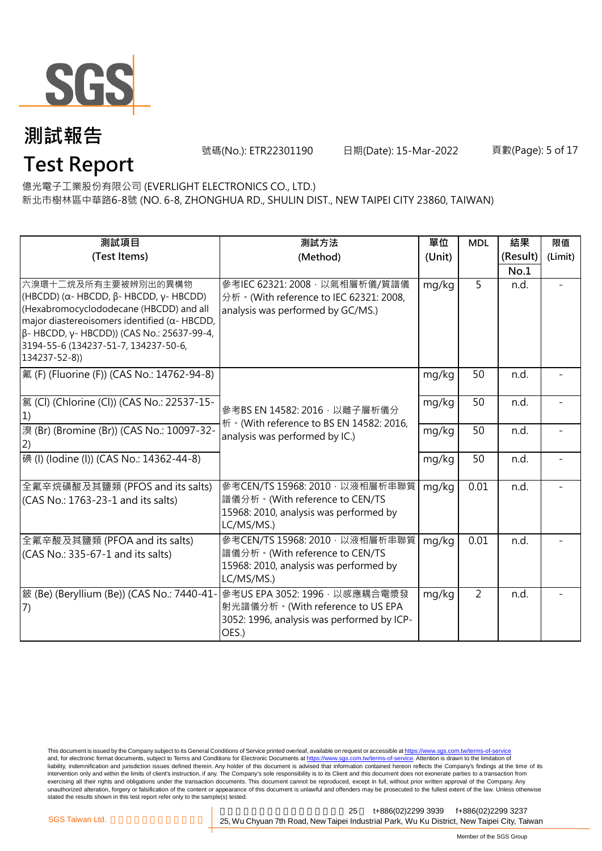

**Test Report**

號碼(No.): ETR22301190 日期(Date): 15-Mar-2022

#### 頁數(Page): 5 of 17

### 億光電子工業股份有限公司 (EVERLIGHT ELECTRONICS CO., LTD.)

新北市樹林區中華路6-8號 (NO. 6-8, ZHONGHUA RD., SHULIN DIST., NEW TAIPEI CITY 23860, TAIWAN)

| 測試項目                                                                                                                                                                                                                                                                                             | 測試方法                                                                                                                     | 單位     | <b>MDL</b>     | 結果       | 限值      |
|--------------------------------------------------------------------------------------------------------------------------------------------------------------------------------------------------------------------------------------------------------------------------------------------------|--------------------------------------------------------------------------------------------------------------------------|--------|----------------|----------|---------|
| (Test Items)                                                                                                                                                                                                                                                                                     | (Method)                                                                                                                 | (Unit) |                | (Result) | (Limit) |
|                                                                                                                                                                                                                                                                                                  |                                                                                                                          |        |                | No.1     |         |
| 六溴環十二烷及所有主要被辨別出的異構物<br>(HBCDD) ( $\alpha$ - HBCDD, $\beta$ - HBCDD, $\gamma$ - HBCDD)<br>(Hexabromocyclododecane (HBCDD) and all<br>major diastereoisomers identified ( $\alpha$ - HBCDD,<br>β- HBCDD, γ- HBCDD)) (CAS No.: 25637-99-4,<br>3194-55-6 (134237-51-7, 134237-50-6,<br>134237-52-8)) | 參考IEC 62321: 2008 · 以氣相層析儀/質譜儀<br>分析 · (With reference to IEC 62321: 2008,<br>analysis was performed by GC/MS.)          | mg/kg  | 5              | n.d.     |         |
| 氟 (F) (Fluorine (F)) (CAS No.: 14762-94-8)                                                                                                                                                                                                                                                       |                                                                                                                          | mg/kg  | 50             | n.d.     |         |
| [氯 (Cl) (Chlorine (Cl)) (CAS No.: 22537-15-<br>1)                                                                                                                                                                                                                                                | 參考BS EN 14582: 2016, 以離子層析儀分<br>析 · (With reference to BS EN 14582: 2016,                                                | mg/kg  | 50             | n.d.     |         |
| 溴 (Br) (Bromine (Br)) (CAS No.: 10097-32-<br>(2)                                                                                                                                                                                                                                                 | mg/kg<br>analysis was performed by IC.)                                                                                  |        | 50             | n.d.     |         |
| 碘 (I) (lodine (I)) (CAS No.: 14362-44-8)                                                                                                                                                                                                                                                         |                                                                                                                          | mg/kg  | 50             | n.d.     |         |
| 全氟辛烷磺酸及其鹽類 (PFOS and its salts)<br>(CAS No.: 1763-23-1 and its salts)                                                                                                                                                                                                                            | 參考CEN/TS 15968: 2010, 以液相層析串聯質<br>譜儀分析。(With reference to CEN/TS<br>15968: 2010, analysis was performed by<br>LC/MS/MS.) | mg/kg  | 0.01           | n.d.     |         |
| 全氟辛酸及其鹽類 (PFOA and its salts)<br>(CAS No.: 335-67-1 and its salts)                                                                                                                                                                                                                               | 參考CEN/TS 15968: 2010, 以液相層析串聯質<br>譜儀分析。(With reference to CEN/TS<br>15968: 2010, analysis was performed by<br>LC/MS/MS.) | mg/kg  | 0.01           | n.d.     |         |
| 鈹 (Be) (Beryllium (Be)) (CAS No.: 7440-41-<br>(7)                                                                                                                                                                                                                                                | 參考US EPA 3052: 1996, 以感應耦合電漿發<br>射光譜儀分析。(With reference to US EPA<br>3052: 1996, analysis was performed by ICP-<br>OES.) | mg/kg  | $\overline{2}$ | n.d.     |         |

This document is issued by the Company subject to its General Conditions of Service printed overleaf, available on request or accessible at <u>https://www.sgs.com.tw/terms-of-service</u><br>and, for electronic format documents, su liability, indemnification and jurisdiction issues defined therein. Any holder of this document is advised that information contained hereon reflects the Company's findings at the time of its intervention only and within the limits of client's instruction, if any. The Company's sole responsibility is to its Client and this document does not exonerate parties to a transaction from exercising all their rights and obligations under the transaction documents. This document cannot be reproduced, except in full, without prior written approval of the Company. Any<br>unauthorized alteration, forgery or falsif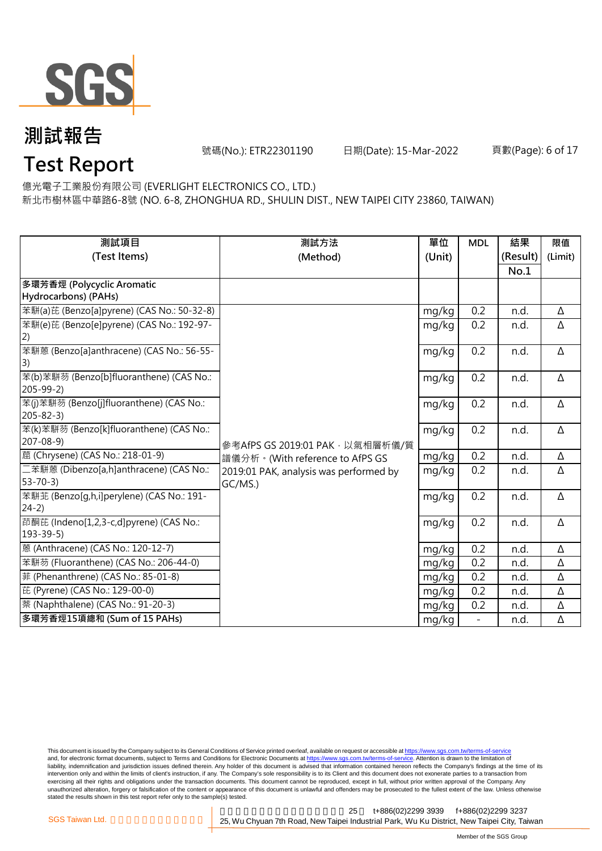

號碼(No.): ETR22301190 日期(Date): 15-Mar-2022

頁數(Page): 6 of 17

# **Test Report**

億光電子工業股份有限公司 (EVERLIGHT ELECTRONICS CO., LTD.)

新北市樹林區中華路6-8號 (NO. 6-8, ZHONGHUA RD., SHULIN DIST., NEW TAIPEI CITY 23860, TAIWAN)

| 測試項目                                                 | 測試方法                                   | 單位     | <b>MDL</b> | 結果       | 限值      |
|------------------------------------------------------|----------------------------------------|--------|------------|----------|---------|
| (Test Items)                                         | (Method)                               | (Unit) |            | (Result) | (Limit) |
|                                                      |                                        |        |            | No.1     |         |
| 多環芳香烴 (Polycyclic Aromatic                           |                                        |        |            |          |         |
| Hydrocarbons) (PAHs)                                 |                                        |        |            |          |         |
| 苯駢(a)芘 (Benzo[a]pyrene) (CAS No.: 50-32-8)           |                                        | mg/kg  | 0.2        | n.d.     | Δ       |
| 苯駢(e)芘 (Benzo[e]pyrene) (CAS No.: 192-97-            |                                        | mg/kg  | 0.2        | n.d.     | Δ       |
| 2)                                                   |                                        |        |            |          |         |
| 苯駢蒽 (Benzo[a]anthracene) (CAS No.: 56-55-            |                                        | mg/kg  | 0.2        | n.d.     | Δ       |
| 3)                                                   |                                        |        |            |          |         |
| 苯(b)苯駢芴 (Benzo[b]fluoranthene) (CAS No.:             |                                        | mg/kg  | 0.2        | n.d.     | Δ       |
| $205 - 99 - 2$                                       |                                        |        |            |          |         |
| 苯(j)苯駢芴 (Benzo[j]fluoranthene) (CAS No.:             |                                        | mg/kg  | 0.2        | n.d.     | Δ       |
| $205 - 82 - 3$                                       |                                        |        |            |          |         |
| 苯(k)苯駢芴 (Benzo[k]fluoranthene) (CAS No.:             |                                        | mg/kg  | 0.2        | n.d.     | Δ       |
| $207 - 08 - 9$                                       | 參考AfPS GS 2019:01 PAK, 以氣相層析儀/質        |        |            |          |         |
| 蔰 (Chrysene) (CAS No.: 218-01-9)                     | 譜儀分析。(With reference to AfPS GS        | mg/kg  | 0.2        | n.d.     | Δ       |
| 二苯駢蒽 (Dibenzo[a,h]anthracene) (CAS No.:              | 2019:01 PAK, analysis was performed by | mg/kg  | 0.2        | n.d.     | Δ       |
| $53 - 70 - 3$                                        | GC/MS.)                                |        |            |          |         |
| 苯駢苝 (Benzo[g,h,i]perylene) (CAS No.: 191-<br>$24-2)$ |                                        | mg/kg  | 0.2        | n.d.     | Δ       |
| 茚酮芘 (Indeno[1,2,3-c,d]pyrene) (CAS No.:              |                                        |        |            |          |         |
| $193 - 39 - 5$                                       |                                        | mg/kg  | 0.2        | n.d.     | Δ       |
| 蒽 (Anthracene) (CAS No.: 120-12-7)                   |                                        | mg/kg  | 0.2        | n.d.     | Δ       |
| 苯駢芴 (Fluoranthene) (CAS No.: 206-44-0)               |                                        |        | 0.2        | n.d.     | Δ       |
|                                                      |                                        | mg/kg  |            |          |         |
| 菲 (Phenanthrene) (CAS No.: 85-01-8)                  |                                        | mg/kg  | 0.2        | n.d.     | Δ       |
| 芘 (Pyrene) (CAS No.: 129-00-0)                       |                                        | mg/kg  | 0.2        | n.d.     | Δ       |
| 萘 (Naphthalene) (CAS No.: 91-20-3)                   |                                        | mg/kg  | 0.2        | n.d.     | Δ       |
| 多環芳香烴15項總和 (Sum of 15 PAHs)                          |                                        | mg/kg  |            | n.d.     | Δ       |

This document is issued by the Company subject to its General Conditions of Service printed overleaf, available on request or accessible at <u>https://www.sgs.com.tw/terms-of-service</u><br>and, for electronic format documents, su liability, indemnification and jurisdiction issues defined therein. Any holder of this document is advised that information contained hereon reflects the Company's findings at the time of its intervention only and within the limits of client's instruction, if any. The Company's sole responsibility is to its Client and this document does not exonerate parties to a transaction from exercising all their rights and obligations under the transaction documents. This document cannot be reproduced, except in full, without prior written approval of the Company. Any<br>unauthorized alteration, forgery or falsif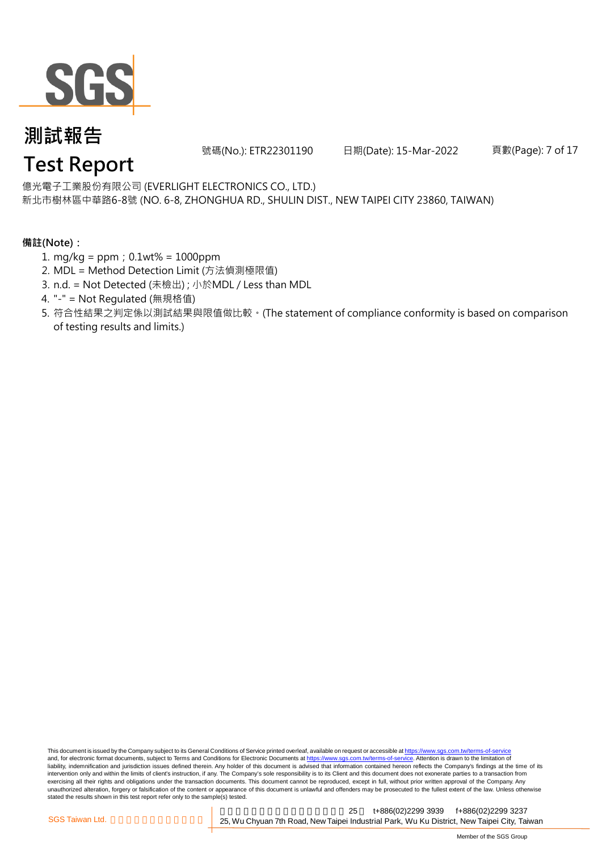

號碼(No.): ETR22301190 日期(Date): 15-Mar-2022

頁數(Page): 7 of 17

億光電子工業股份有限公司 (EVERLIGHT ELECTRONICS CO., LTD.)

新北市樹林區中華路6-8號 (NO. 6-8, ZHONGHUA RD., SHULIN DIST., NEW TAIPEI CITY 23860, TAIWAN)

### **備註(Note):**

- 1. mg/kg = ppm;0.1wt% = 1000ppm
- 2. MDL = Method Detection Limit (方法偵測極限值)
- 3. n.d. = Not Detected (未檢出) ; 小於MDL / Less than MDL
- 4. "-" = Not Regulated (無規格值)
- 5. 符合性結果之判定係以測試結果與限值做比較。(The statement of compliance conformity is based on comparison of testing results and limits.)

This document is issued by the Company subject to its General Conditions of Service printed overleaf, available on request or accessible at https://www.sgs.com.tw/terms-of-service and, for electronic format documents, subject to Terms and Conditions for Electronic Documents at https://www.sgs.com.tw/terms-of-service. Attention is drawn to the limitation of liability, indemnification and jurisdiction issues defined therein. Any holder of this document is advised that information contained hereon reflects the Company's findings at the time of its intervention only and within the limits of client's instruction, if any. The Company's sole responsibility is to its Client and this document does not exonerate parties to a transaction from exercising all their rights and obligations under the transaction documents. This document cannot be reproduced, except in full, without prior written approval of the Company. Any<br>unauthorized alteration, forgery or falsif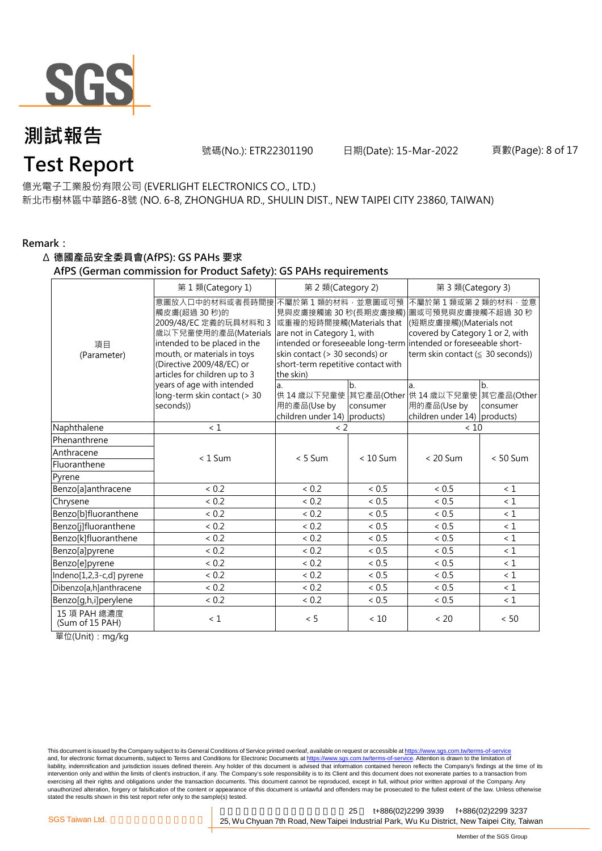

號碼(No.): ETR22301190 日期(Date): 15-Mar-2022

#### 頁數(Page): 8 of 17

#### 億光電子工業股份有限公司 (EVERLIGHT ELECTRONICS CO., LTD.)

新北市樹林區中華路6-8號 (NO. 6-8, ZHONGHUA RD., SHULIN DIST., NEW TAIPEI CITY 23860, TAIWAN)

#### **Remark:**

#### Δ **德國產品安全委員會(AfPS): GS PAHs 要求**

#### **AfPS (German commission for Product Safety): GS PAHs requirements**

|                                 | 第1類(Category 1)                                                                                                                                                                                               | 第 2 類(Category 2)                                                                                                                                                                        |                | 第 3 類(Category 3)                                                                                                                                                                                                   |                |  |
|---------------------------------|---------------------------------------------------------------------------------------------------------------------------------------------------------------------------------------------------------------|------------------------------------------------------------------------------------------------------------------------------------------------------------------------------------------|----------------|---------------------------------------------------------------------------------------------------------------------------------------------------------------------------------------------------------------------|----------------|--|
| 項目<br>(Parameter)               | 意圖放入口中的材料或者長時間接<br>觸皮膚(超過 30秒)的<br>2009/48/EC 定義的玩具材料和 3<br>歲以下兒童使用的產品(Materials<br>intended to be placed in the<br>mouth, or materials in toys<br>(Directive 2009/48/EC) or<br>articles for children up to 3 | 不屬於第1類的材料,並意圖或可預<br>見與皮膚接觸逾 30 秒(長期皮膚接觸)<br>或重複的短時間接觸(Materials that<br>are not in Category 1, with<br>skin contact (> 30 seconds) or<br>short-term repetitive contact with<br>the skin) |                | 不屬於第1類或第2類的材料·並意<br>圖或可預見與皮膚接觸不超過 30 秒<br>(短期皮膚接觸)(Materials not<br>covered by Category 1 or 2, with<br>intended or foreseeable long-term intended or foreseeable short-<br>term skin contact ( $\leq$ 30 seconds)) |                |  |
|                                 | years of age with intended<br>long-term skin contact (> 30<br>seconds))                                                                                                                                       | a.<br>用的產品(Use by<br>children under $14$ ) products)                                                                                                                                     | b.<br>consumer | a.<br>供 14 歳以下兒童使 其它產品(Other 供 14 歳以下兒童使 其它產品(Other<br>用的產品(Use by<br>children under 14) products)                                                                                                                  | b.<br>consumer |  |
| Naphthalene                     | < 1                                                                                                                                                                                                           | $\langle$ 2                                                                                                                                                                              |                | < 10                                                                                                                                                                                                                |                |  |
| Phenanthrene                    |                                                                                                                                                                                                               |                                                                                                                                                                                          |                |                                                                                                                                                                                                                     |                |  |
| Anthracene                      | $< 1$ Sum                                                                                                                                                                                                     | $< 5$ Sum                                                                                                                                                                                | $< 10$ Sum     | $< 20$ Sum                                                                                                                                                                                                          | $< 50$ Sum     |  |
| Fluoranthene                    |                                                                                                                                                                                                               |                                                                                                                                                                                          |                |                                                                                                                                                                                                                     |                |  |
| Pyrene                          |                                                                                                                                                                                                               |                                                                                                                                                                                          |                |                                                                                                                                                                                                                     |                |  |
| Benzo[a]anthracene              | < 0.2                                                                                                                                                                                                         | < 0.2                                                                                                                                                                                    | < 0.5          | < 0.5                                                                                                                                                                                                               | < 1            |  |
| Chrysene                        | < 0.2                                                                                                                                                                                                         | < 0.2                                                                                                                                                                                    | < 0.5          | < 0.5                                                                                                                                                                                                               | $\leq 1$       |  |
| Benzo[b]fluoranthene            | < 0.2                                                                                                                                                                                                         | ${}< 0.2$                                                                                                                                                                                | < 0.5          | ${}< 0.5$                                                                                                                                                                                                           | $\leq 1$       |  |
| Benzo[j]fluoranthene            | < 0.2                                                                                                                                                                                                         | ${}< 0.2$                                                                                                                                                                                | ${}< 0.5$      | < 0.5                                                                                                                                                                                                               | $\leq 1$       |  |
| Benzo[k]fluoranthene            | < 0.2                                                                                                                                                                                                         | < 0.2                                                                                                                                                                                    | < 0.5          | < 0.5                                                                                                                                                                                                               | $\leq 1$       |  |
| Benzo[a]pyrene                  | < 0.2                                                                                                                                                                                                         | < 0.2                                                                                                                                                                                    | < 0.5          | ~< 0.5                                                                                                                                                                                                              | $\leq 1$       |  |
| Benzo[e]pyrene                  | < 0.2                                                                                                                                                                                                         | < 0.2                                                                                                                                                                                    | < 0.5          | < 0.5                                                                                                                                                                                                               | $\leq 1$       |  |
| Indeno[1,2,3-c,d] pyrene        | < 0.2                                                                                                                                                                                                         | < 0.2                                                                                                                                                                                    | < 0.5          | < 0.5                                                                                                                                                                                                               | $\leq 1$       |  |
| Dibenzo[a,h]anthracene          | < 0.2                                                                                                                                                                                                         | < 0.2                                                                                                                                                                                    | < 0.5          | < 0.5                                                                                                                                                                                                               | $\leq 1$       |  |
| Benzo[g,h,i]perylene            | ${}< 0.2$                                                                                                                                                                                                     | < 0.2                                                                                                                                                                                    | < 0.5          | ${}< 0.5$                                                                                                                                                                                                           | $\leq 1$       |  |
| 15 項 PAH 總濃度<br>(Sum of 15 PAH) | < 1                                                                                                                                                                                                           | < 5                                                                                                                                                                                      | < 10           | < 20                                                                                                                                                                                                                | < 50           |  |

單位(Unit):mg/kg

This document is issued by the Company subject to its General Conditions of Service printed overleaf, available on request or accessible at <u>https://www.sgs.com.tw/terms-of-service</u><br>and, for electronic format documents, su liability, indemnification and jurisdiction issues defined therein. Any holder of this document is advised that information contained hereon reflects the Company's findings at the time of its intervention only and within the limits of client's instruction, if any. The Company's sole responsibility is to its Client and this document does not exonerate parties to a transaction from exercising all their rights and obligations under the transaction documents. This document cannot be reproduced, except in full, without prior written approval of the Company. Any<br>unauthorized alteration, forgery or falsif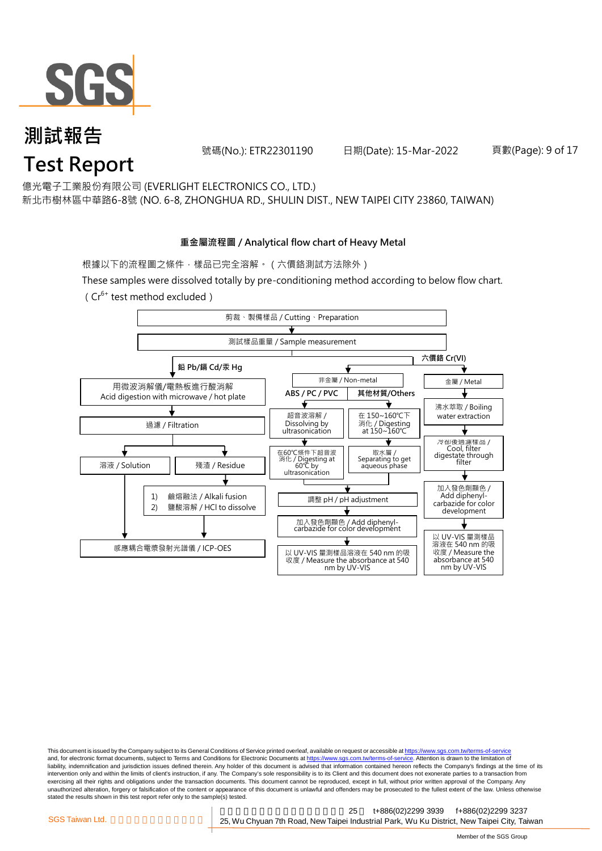

號碼(No.): ETR22301190 日期(Date): 15-Mar-2022

頁數(Page): 9 of 17

億光電子工業股份有限公司 (EVERLIGHT ELECTRONICS CO., LTD.)

新北市樹林區中華路6-8號 (NO. 6-8, ZHONGHUA RD., SHULIN DIST., NEW TAIPEI CITY 23860, TAIWAN)

### **重金屬流程圖 / Analytical flow chart of Heavy Metal**

根據以下的流程圖之條件,樣品已完全溶解。 (六價鉻測試方法除外)

These samples were dissolved totally by pre-conditioning method according to below flow chart. ( $Cr^{6+}$  test method excluded)



This document is issued by the Company subject to its General Conditions of Service printed overleaf, available on request or accessible at https://www.sgs.com.tw/terms-of-service and, for electronic format documents, subject to Terms and Conditions for Electronic Documents at https://www.sgs.com.tw/terms-of-service. Attention is drawn to the limitation of liability, indemnification and jurisdiction issues defined therein. Any holder of this document is advised that information contained hereon reflects the Company's findings at the time of its intervention only and within the limits of client's instruction, if any. The Company's sole responsibility is to its Client and this document does not exonerate parties to a transaction from exercising all their rights and obligations under the transaction documents. This document cannot be reproduced, except in full, without prior written approval of the Company. Any<br>unauthorized alteration, forgery or falsif stated the results shown in this test report refer only to the sample(s) tested.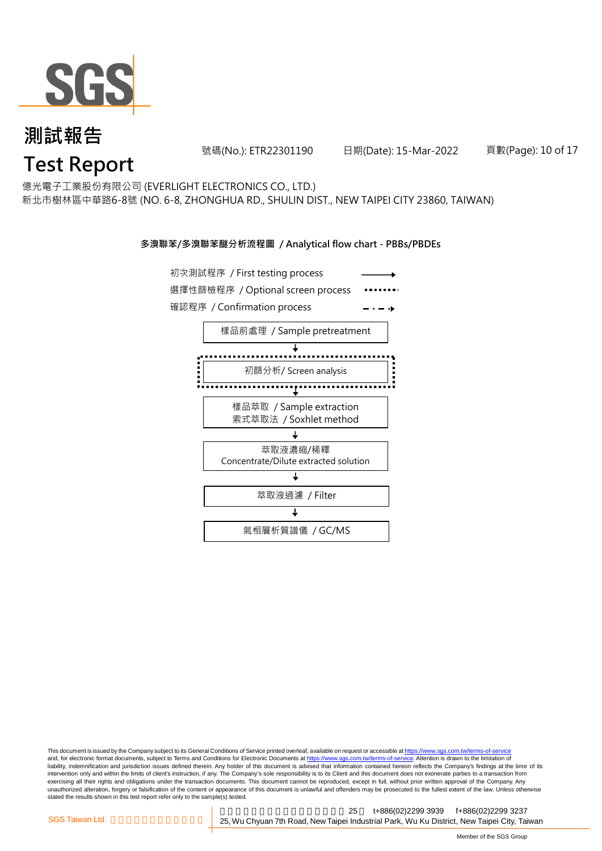

號碼(No.): ETR22301190 日期(Date): 15-Mar-2022

頁數(Page): 10 of 17

億光電子工業股份有限公司 (EVERLIGHT ELECTRONICS CO., LTD.)

新北市樹林區中華路6-8號 (NO. 6-8, ZHONGHUA RD., SHULIN DIST., NEW TAIPEI CITY 23860, TAIWAN)

#### **多溴聯苯/多溴聯苯醚分析流程圖 / Analytical flow chart - PBBs/PBDEs**



This document is issued by the Company subject to its General Conditions of Service printed overleaf, available on request or accessible at https://www.sgs.com.tw/terms-of-service and, for electronic format documents, subject to Terms and Conditions for Electronic Documents at https://www.sgs.com.tw/terms-of-service. Attention is drawn to the limitation of liability, indemnification and jurisdiction issues defined therein. Any holder of this document is advised that information contained hereon reflects the Company's findings at the time of its intervention only and within the limits of client's instruction, if any. The Company's sole responsibility is to its Client and this document does not exonerate parties to a transaction from exercising all their rights and obligations under the transaction documents. This document cannot be reproduced, except in full, without prior written approval of the Company. Any<br>unauthorized alteration, forgery or falsif stated the results shown in this test report refer only to the sample(s) tested.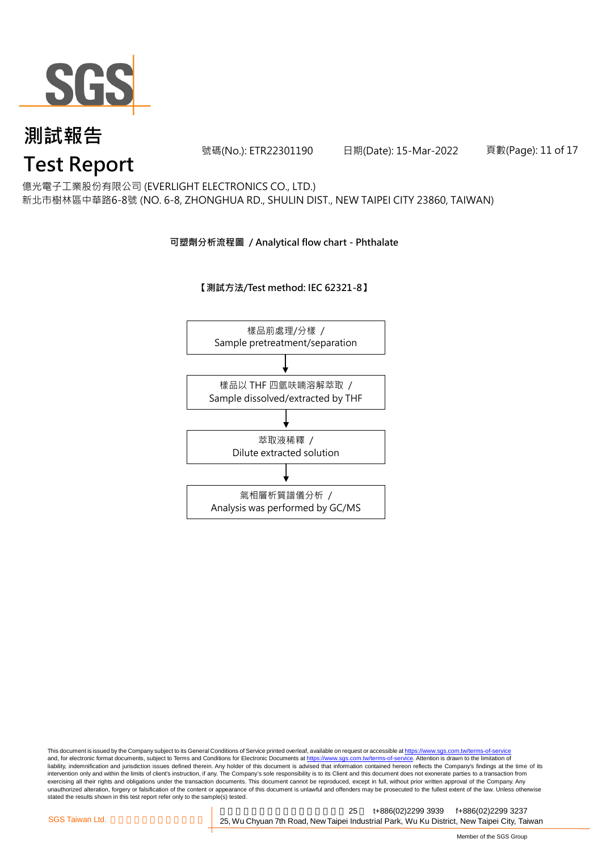

號碼(No.): ETR22301190 日期(Date): 15-Mar-2022

頁數(Page): 11 of 17

億光電子工業股份有限公司 (EVERLIGHT ELECTRONICS CO., LTD.)

新北市樹林區中華路6-8號 (NO. 6-8, ZHONGHUA RD., SHULIN DIST., NEW TAIPEI CITY 23860, TAIWAN)

### **可塑劑分析流程圖 / Analytical flow chart - Phthalate**

**【測試方法/Test method: IEC 62321-8】**



This document is issued by the Company subject to its General Conditions of Service printed overleaf, available on request or accessible at <u>https://www.sgs.com.tw/terms-of-service</u><br>and, for electronic format documents, su liability, indemnification and jurisdiction issues defined therein. Any holder of this document is advised that information contained hereon reflects the Company's findings at the time of its intervention only and within the limits of client's instruction, if any. The Company's sole responsibility is to its Client and this document does not exonerate parties to a transaction from exercising all their rights and obligations under the transaction documents. This document cannot be reproduced, except in full, without prior written approval of the Company. Any<br>unauthorized alteration, forgery or falsif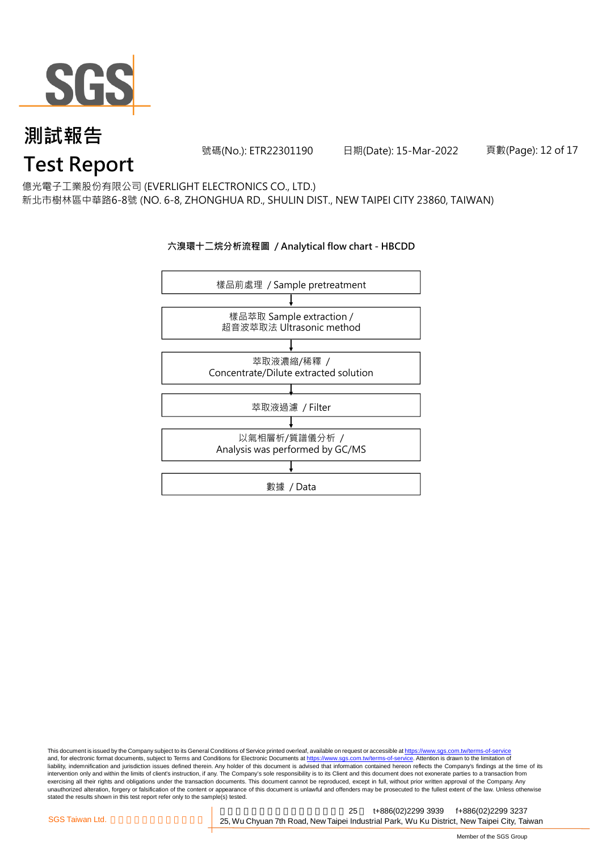

號碼(No.): ETR22301190 日期(Date): 15-Mar-2022

頁數(Page): 12 of 17

億光電子工業股份有限公司 (EVERLIGHT ELECTRONICS CO., LTD.)

新北市樹林區中華路6-8號 (NO. 6-8, ZHONGHUA RD., SHULIN DIST., NEW TAIPEI CITY 23860, TAIWAN)

### **六溴環十二烷分析流程圖 / Analytical flow chart - HBCDD**



This document is issued by the Company subject to its General Conditions of Service printed overleaf, available on request or accessible at <u>https://www.sgs.com.tw/terms-of-service</u><br>and, for electronic format documents, su liability, indemnification and jurisdiction issues defined therein. Any holder of this document is advised that information contained hereon reflects the Company's findings at the time of its intervention only and within the limits of client's instruction, if any. The Company's sole responsibility is to its Client and this document does not exonerate parties to a transaction from exercising all their rights and obligations under the transaction documents. This document cannot be reproduced, except in full, without prior written approval of the Company. Any<br>unauthorized alteration, forgery or falsif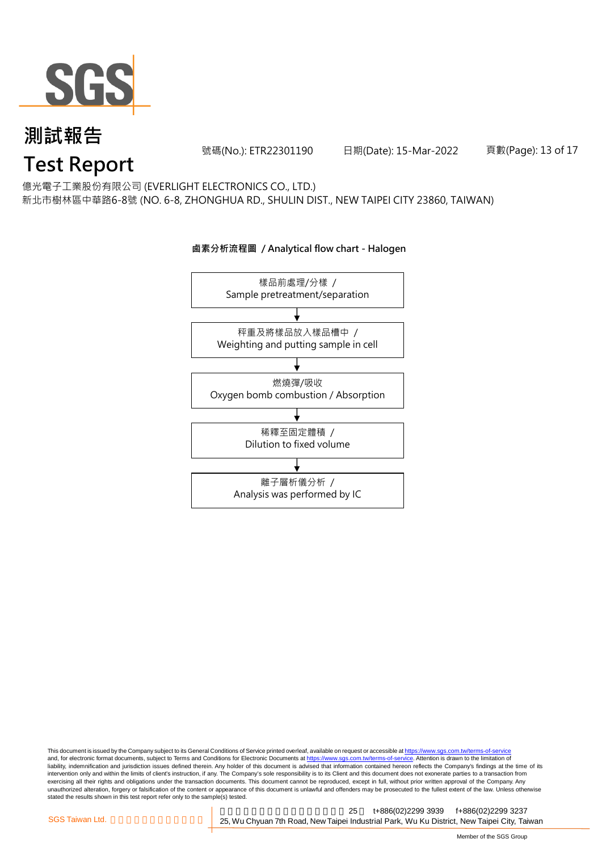

號碼(No.): ETR22301190 日期(Date): 15-Mar-2022

頁數(Page): 13 of 17

億光電子工業股份有限公司 (EVERLIGHT ELECTRONICS CO., LTD.)

新北市樹林區中華路6-8號 (NO. 6-8, ZHONGHUA RD., SHULIN DIST., NEW TAIPEI CITY 23860, TAIWAN)

# 樣品前處理/分樣 / Sample pretreatment/separation 秤重及將樣品放入樣品槽中 / Weighting and putting sample in cell 燃燒彈/吸收 Oxygen bomb combustion / Absorption 離子層析儀分析 / Analysis was performed by IC 稀釋至固定體積 / Dilution to fixed volume

**鹵素分析流程圖 / Analytical flow chart - Halogen**

This document is issued by the Company subject to its General Conditions of Service printed overleaf, available on request or accessible at <u>https://www.sgs.com.tw/terms-of-service</u><br>and, for electronic format documents, su liability, indemnification and jurisdiction issues defined therein. Any holder of this document is advised that information contained hereon reflects the Company's findings at the time of its intervention only and within the limits of client's instruction, if any. The Company's sole responsibility is to its Client and this document does not exonerate parties to a transaction from exercising all their rights and obligations under the transaction documents. This document cannot be reproduced, except in full, without prior written approval of the Company. Any<br>unauthorized alteration, forgery or falsif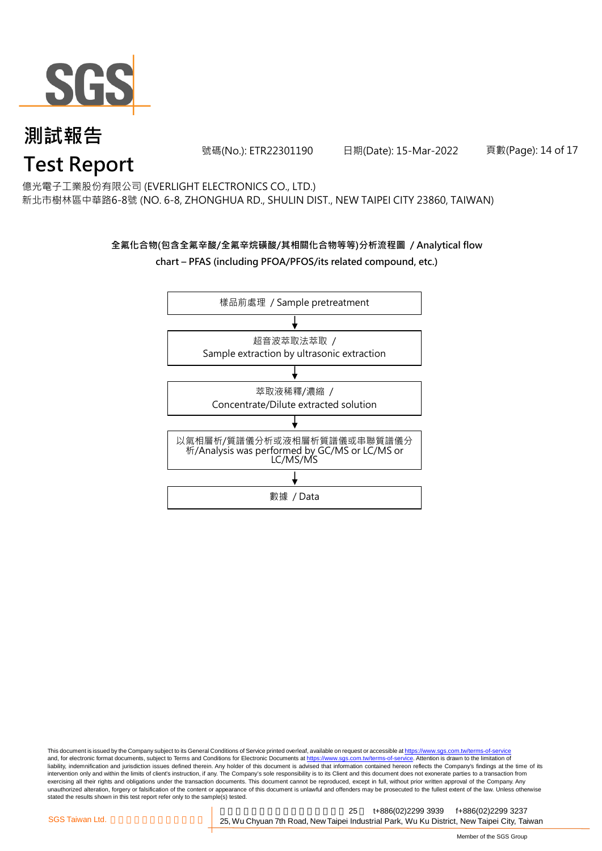

號碼(No.): ETR22301190 日期(Date): 15-Mar-2022

頁數(Page): 14 of 17

億光電子工業股份有限公司 (EVERLIGHT ELECTRONICS CO., LTD.)

新北市樹林區中華路6-8號 (NO. 6-8, ZHONGHUA RD., SHULIN DIST., NEW TAIPEI CITY 23860, TAIWAN)

### **全氟化合物(包含全氟辛酸/全氟辛烷磺酸/其相關化合物等等)分析流程圖 / Analytical flow chart – PFAS (including PFOA/PFOS/its related compound, etc.)**



This document is issued by the Company subject to its General Conditions of Service printed overleaf, available on request or accessible at https://www.sgs.com.tw/terms-of-service and, for electronic format documents, subject to Terms and Conditions for Electronic Documents at https://www.sgs.com.tw/terms-of-service. Attention is drawn to the limitation of liability, indemnification and jurisdiction issues defined therein. Any holder of this document is advised that information contained hereon reflects the Company's findings at the time of its intervention only and within the limits of client's instruction, if any. The Company's sole responsibility is to its Client and this document does not exonerate parties to a transaction from exercising all their rights and obligations under the transaction documents. This document cannot be reproduced, except in full, without prior written approval of the Company. Any<br>unauthorized alteration, forgery or falsif stated the results shown in this test report refer only to the sample(s) tested.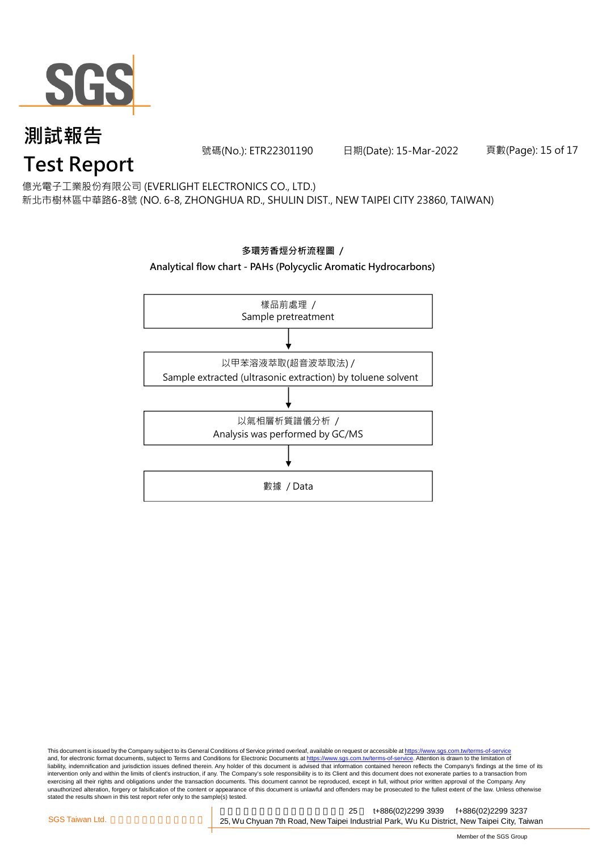

號碼(No.): ETR22301190 日期(Date): 15-Mar-2022

頁數(Page): 15 of 17

億光電子工業股份有限公司 (EVERLIGHT ELECTRONICS CO., LTD.)

新北市樹林區中華路6-8號 (NO. 6-8, ZHONGHUA RD., SHULIN DIST., NEW TAIPEI CITY 23860, TAIWAN)



This document is issued by the Company subject to its General Conditions of Service printed overleaf, available on request or accessible at <u>https://www.sgs.com.tw/terms-of-service</u><br>and, for electronic format documents, su liability, indemnification and jurisdiction issues defined therein. Any holder of this document is advised that information contained hereon reflects the Company's findings at the time of its intervention only and within the limits of client's instruction, if any. The Company's sole responsibility is to its Client and this document does not exonerate parties to a transaction from exercising all their rights and obligations under the transaction documents. This document cannot be reproduced, except in full, without prior written approval of the Company. Any<br>unauthorized alteration, forgery or falsif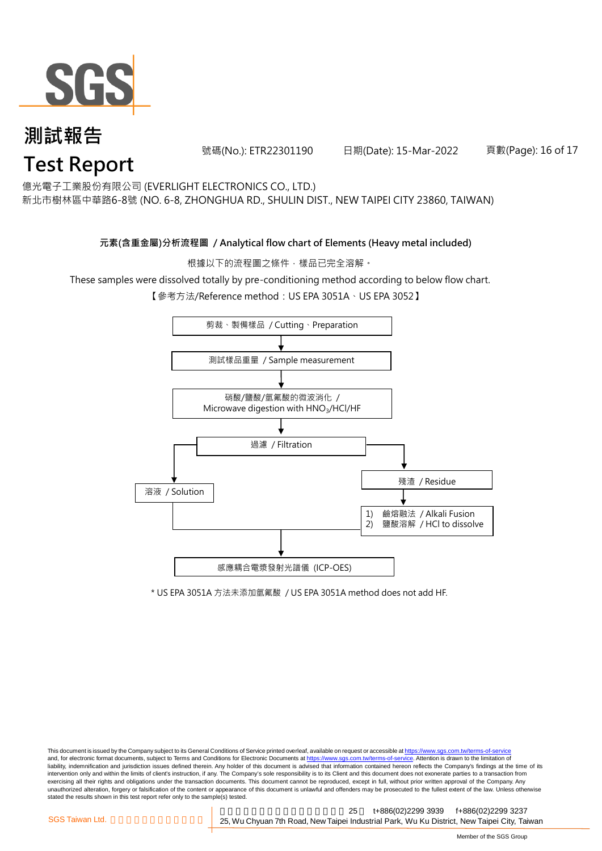

號碼(No.): ETR22301190 日期(Date): 15-Mar-2022

頁數(Page): 16 of 17

億光電子工業股份有限公司 (EVERLIGHT ELECTRONICS CO., LTD.)

新北市樹林區中華路6-8號 (NO. 6-8, ZHONGHUA RD., SHULIN DIST., NEW TAIPEI CITY 23860, TAIWAN)

### **元素(含重金屬)分析流程圖 / Analytical flow chart of Elements (Heavy metal included)**

根據以下的流程圖之條件,樣品已完全溶解。

These samples were dissolved totally by pre-conditioning method according to below flow chart.

【參考方法/Reference method:US EPA 3051A、US EPA 3052】



\* US EPA 3051A 方法未添加氫氟酸 / US EPA 3051A method does not add HF.

This document is issued by the Company subject to its General Conditions of Service printed overleaf, available on request or accessible at https://www.sgs.com.tw/terms-of-service and, for electronic format documents, subject to Terms and Conditions for Electronic Documents at https://www.sgs.com.tw/terms-of-service. Attention is drawn to the limitation of liability, indemnification and jurisdiction issues defined therein. Any holder of this document is advised that information contained hereon reflects the Company's findings at the time of its intervention only and within the limits of client's instruction, if any. The Company's sole responsibility is to its Client and this document does not exonerate parties to a transaction from exercising all their rights and obligations under the transaction documents. This document cannot be reproduced, except in full, without prior written approval of the Company. Any<br>unauthorized alteration, forgery or falsif stated the results shown in this test report refer only to the sample(s) tested.